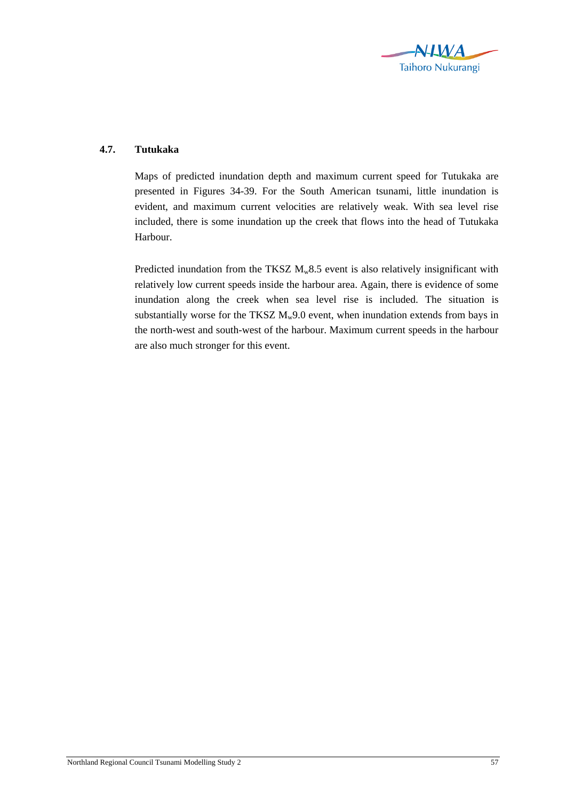

## **4.7. Tutukaka**

Maps of predicted inundation depth and maximum current speed for Tutukaka are presented in Figures 34-39. For the South American tsunami, little inundation is evident, and maximum current velocities are relatively weak. With sea level rise included, there is some inundation up the creek that flows into the head of Tutukaka Harbour.

Predicted inundation from the TKSZ  $M_w 8.5$  event is also relatively insignificant with relatively low current speeds inside the harbour area. Again, there is evidence of some inundation along the creek when sea level rise is included. The situation is substantially worse for the TKSZ  $M_w9.0$  event, when inundation extends from bays in the north-west and south-west of the harbour. Maximum current speeds in the harbour are also much stronger for this event.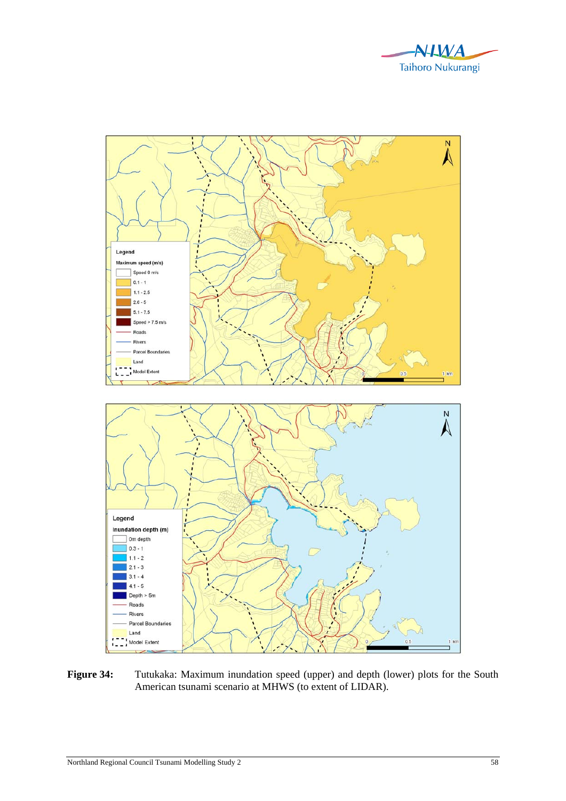



Figure 34: Tutukaka: Maximum inundation speed (upper) and depth (lower) plots for the South American tsunami scenario at MHWS (to extent of LIDAR).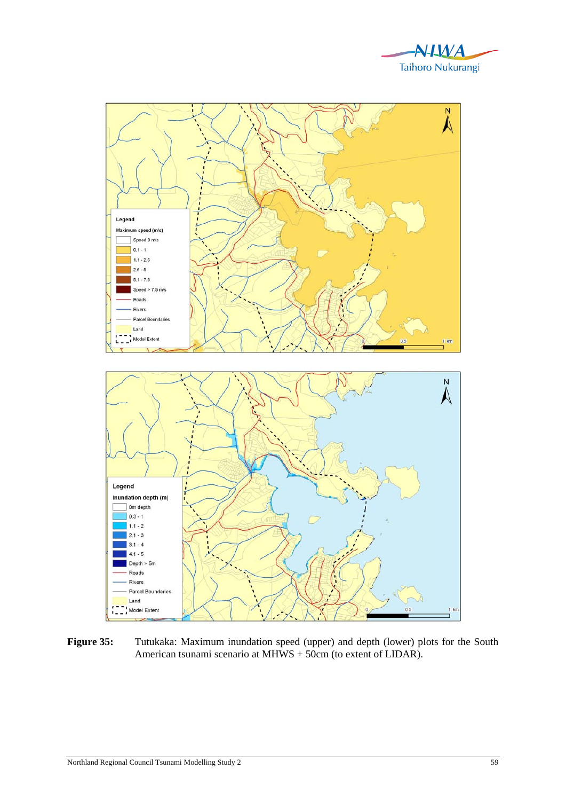



Figure 35: Tutukaka: Maximum inundation speed (upper) and depth (lower) plots for the South American tsunami scenario at MHWS + 50cm (to extent of LIDAR).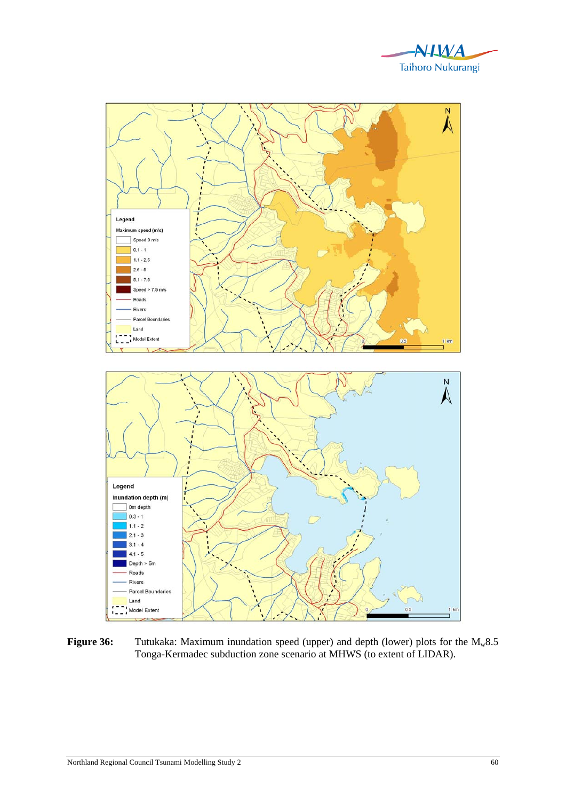



**Figure 36:** Tutukaka: Maximum inundation speed (upper) and depth (lower) plots for the M<sub>w</sub>8.5 Tonga-Kermadec subduction zone scenario at MHWS (to extent of LIDAR).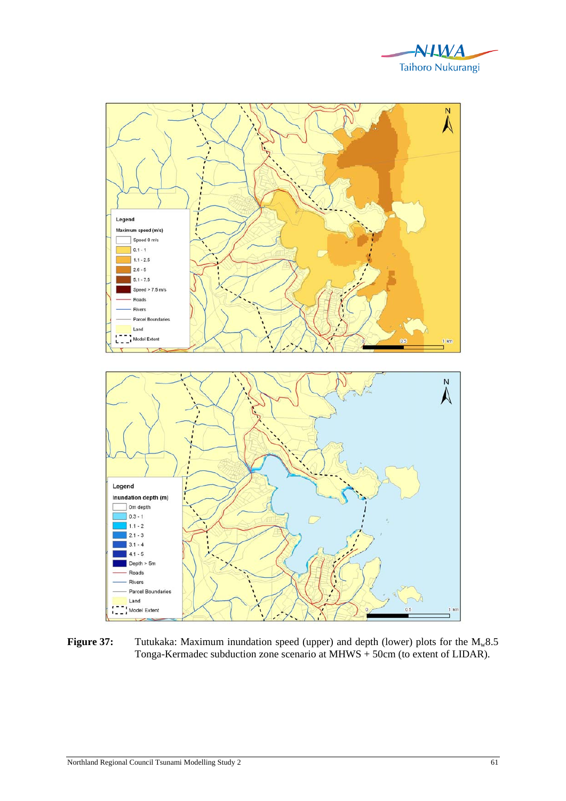



**Figure 37:** Tutukaka: Maximum inundation speed (upper) and depth (lower) plots for the M<sub>w</sub>8.5 Tonga-Kermadec subduction zone scenario at MHWS + 50cm (to extent of LIDAR).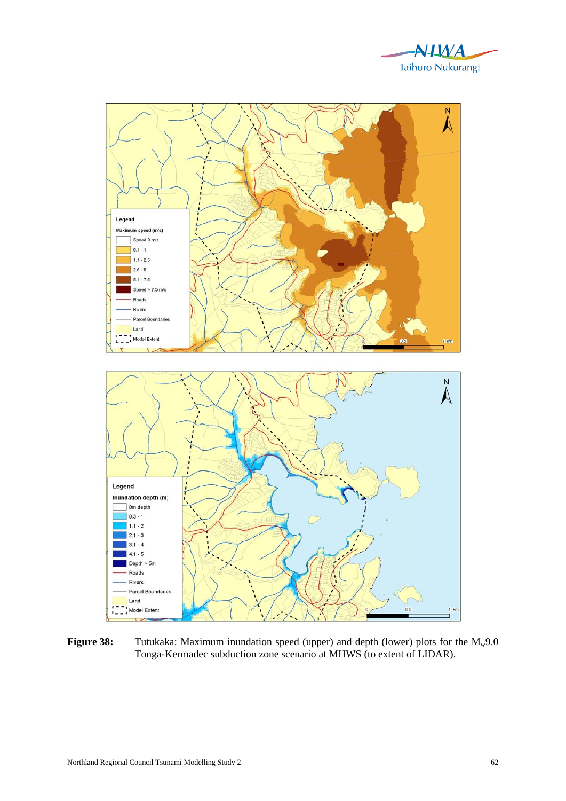



**Figure 38:** Tutukaka: Maximum inundation speed (upper) and depth (lower) plots for the M<sub>w</sub>9.0 Tonga-Kermadec subduction zone scenario at MHWS (to extent of LIDAR).